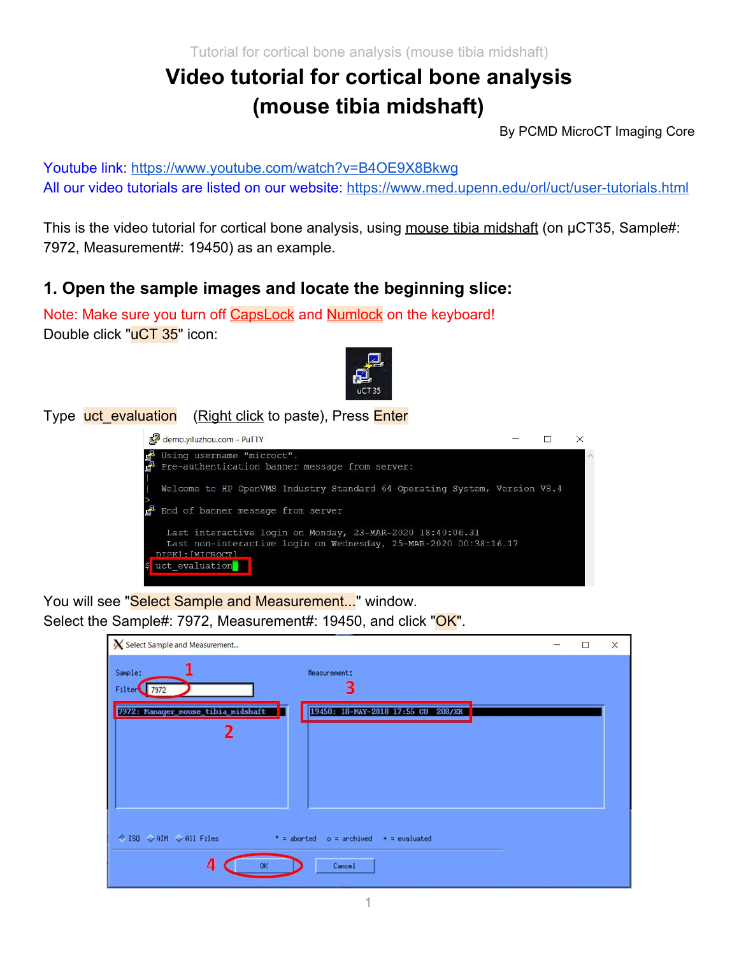Tutorial for cortical bone analysis (mouse tibia midshaft)

# **Video tutorial for cortical bone analysis (mouse tibia midshaft)**

By PCMD MicroCT Imaging Core

Youtube link: <https://www.youtube.com/watch?v=B4OE9X8Bkwg> All our video tutorials are listed on our website:<https://www.med.upenn.edu/orl/uct/user-tutorials.html>

This is the video tutorial for cortical bone analysis, using mouse tibia midshaft (on µCT35, Sample#: 7972, Measurement#: 19450) as an example.

### **1. Open the sample images and locate the beginning slice:**

Note: Make sure you turn off CapsLock and Numlock on the keyboard! Double click "uCT 35" icon:



Type uct evaluation (Right click to paste), Press Enter



You will see "Select Sample and Measurement..." window. Select the Sample#: 7972, Measurement#: 19450, and click "OK".

| Select Sample and Measurement                                                                                              | - | $\Box$ | $\times$ |
|----------------------------------------------------------------------------------------------------------------------------|---|--------|----------|
| Sample:<br>Measurement:<br>3<br>Filter<br>7972<br>19450: 18-MAY-2018 17:55 CU 208/XR<br>7972: Manager_nouse_tibia_midshaft |   |        |          |
| $\Diamond$ ISQ $\Diamond$ AIM $\Diamond$ All Files<br>$* =$ aborted<br>$o =$ archived $+$ = evaluated<br>4<br>Cancel       |   |        |          |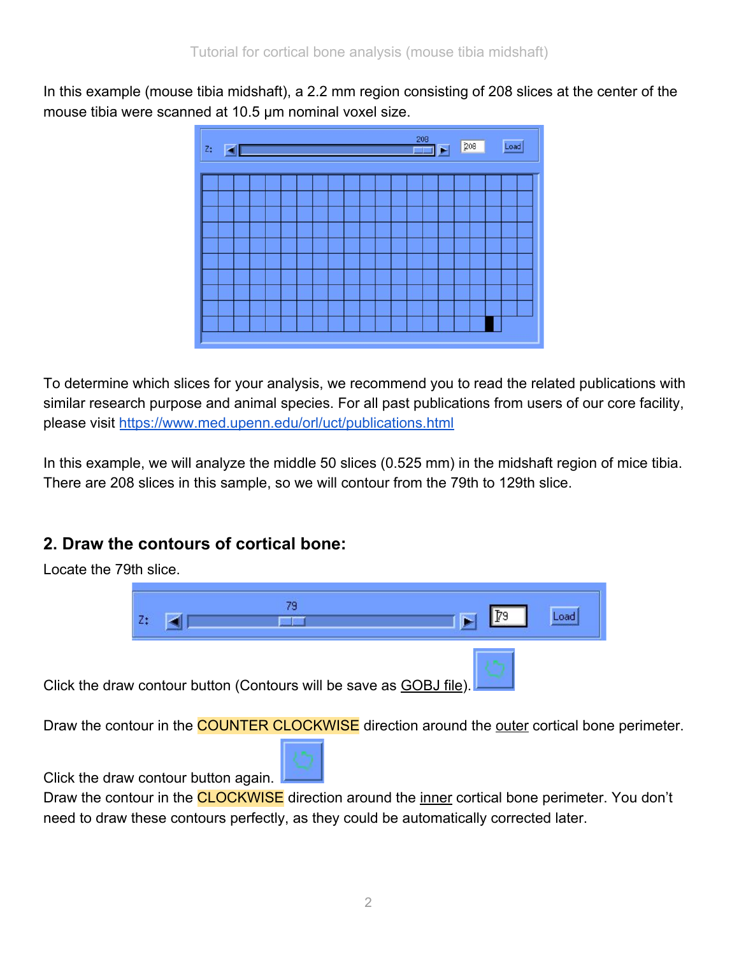In this example (mouse tibia midshaft), a 2.2 mm region consisting of 208 slices at the center of the mouse tibia were scanned at 10.5 µm nominal voxel size.



To determine which slices for your analysis, we recommend you to read the related publications with similar research purpose and animal species. For all past publications from users of our core facility, please visit <https://www.med.upenn.edu/orl/uct/publications.html>

In this example, we will analyze the middle 50 slices (0.525 mm) in the midshaft region of mice tibia. There are 208 slices in this sample, so we will contour from the 79th to 129th slice.

# **2. Draw the contours of cortical bone:**



Draw the contour in the COUNTER CLOCKWISE direction around the outer cortical bone perimeter.



Click the draw contour button again.

Draw the contour in the **CLOCKWISE** direction around the inner cortical bone perimeter. You don't need to draw these contours perfectly, as they could be automatically corrected later.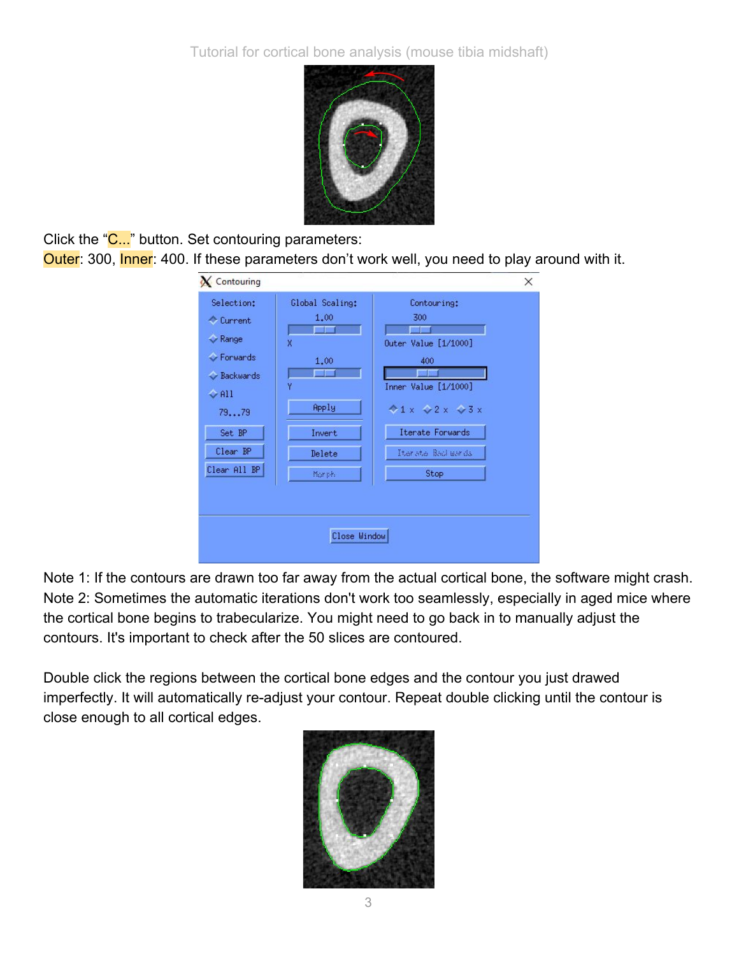

Click the "C..." button. Set contouring parameters:

Outer: 300, Inner: 400. If these parameters don't work well, you need to play around with it.

| X Contouring                                                                                                                            |                                                                                                         |                                                                                                                                                        | × |
|-----------------------------------------------------------------------------------------------------------------------------------------|---------------------------------------------------------------------------------------------------------|--------------------------------------------------------------------------------------------------------------------------------------------------------|---|
| Selection:<br>Current<br>$\triangledown$ Range<br>Gerwards<br>Backwards<br>$\Diamond$ All<br>7979<br>Set BP<br>Clear BP<br>Clear All BP | Global Scaling:<br>1.00<br>$\mathsf{\overline{X}}$<br>1.00<br>٧<br>Apply<br>Invert<br>Delete<br>Mor ph. | Contouring:<br>300<br>Outer Value [1/1000]<br>400<br>Inner Value [1/1000]<br>$4x \times 2x \times 3x$<br>Iterate Forwards<br>Therete Bachwards<br>Stop |   |
|                                                                                                                                         | Close Window                                                                                            |                                                                                                                                                        |   |

Note 1: If the contours are drawn too far away from the actual cortical bone, the software might crash. Note 2: Sometimes the automatic iterations don't work too seamlessly, especially in aged mice where the cortical bone begins to trabecularize. You might need to go back in to manually adjust the contours. It's important to check after the 50 slices are contoured.

Double click the regions between the cortical bone edges and the contour you just drawed imperfectly. It will automatically re-adjust your contour. Repeat double clicking until the contour is close enough to all cortical edges.

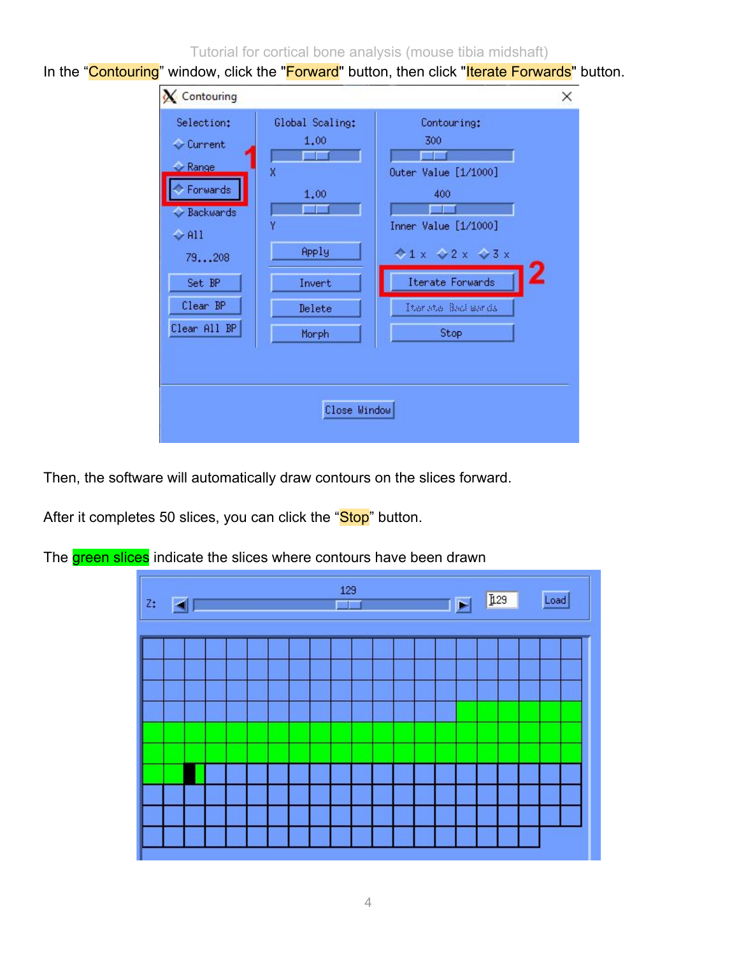Tutorial for cortical bone analysis (mouse tibia midshaft)

In the "Contouring" window, click the "Forward" button, then click "Iterate Forwards" button.

| <b>X</b> Contouring                                                                                                                    |                                                                            |                                                                                                                                                                      | × |
|----------------------------------------------------------------------------------------------------------------------------------------|----------------------------------------------------------------------------|----------------------------------------------------------------------------------------------------------------------------------------------------------------------|---|
| Selection:<br>Current<br>$\sim$ Range<br>Forwards<br>Backwards<br>$\Leftrightarrow$ All<br>79208<br>Set BP<br>Clear BP<br>Clear All BP | Global Scaling:<br>1.00<br>X<br>1.00<br>Apply<br>Invert<br>Delete<br>Morph | Contouring:<br>300<br>Outer Value [1/1000]<br>400<br>Inner Value [1/1000]<br>$41 \times 2 \times 23 \times$<br>2<br>Iterate Forwards<br>Ther she Beat war da<br>Stop |   |
|                                                                                                                                        | Close Window                                                               |                                                                                                                                                                      |   |

Then, the software will automatically draw contours on the slices forward.

After it completes 50 slices, you can click the "Stop" button.

The green slices indicate the slices where contours have been drawn

| z; | 129 |  |  |  |  |  |  |  |  |  | $\blacksquare$ | 129 | Load |  |  |  |
|----|-----|--|--|--|--|--|--|--|--|--|----------------|-----|------|--|--|--|
|    |     |  |  |  |  |  |  |  |  |  |                |     |      |  |  |  |
|    |     |  |  |  |  |  |  |  |  |  |                |     |      |  |  |  |
|    |     |  |  |  |  |  |  |  |  |  |                |     |      |  |  |  |
|    |     |  |  |  |  |  |  |  |  |  |                |     |      |  |  |  |
|    |     |  |  |  |  |  |  |  |  |  |                |     |      |  |  |  |
|    |     |  |  |  |  |  |  |  |  |  |                |     |      |  |  |  |
|    |     |  |  |  |  |  |  |  |  |  |                |     |      |  |  |  |
|    |     |  |  |  |  |  |  |  |  |  |                |     |      |  |  |  |
|    |     |  |  |  |  |  |  |  |  |  |                |     |      |  |  |  |
|    |     |  |  |  |  |  |  |  |  |  |                |     |      |  |  |  |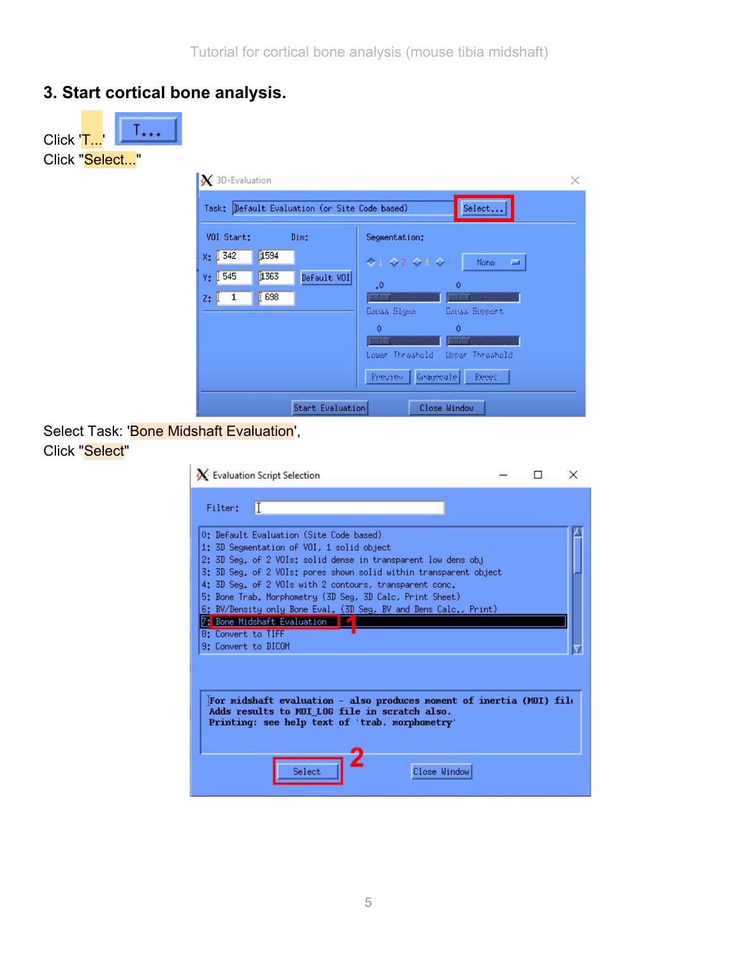## **3. Start cortical bone analysis.**





#### Select Task: 'Bone Midshaft Evaluation', Click "Select"

|                     | X Evaluation Script Selection                                                                                                                                                           |              |  | × |
|---------------------|-----------------------------------------------------------------------------------------------------------------------------------------------------------------------------------------|--------------|--|---|
| Filtert             | IT                                                                                                                                                                                      |              |  |   |
|                     | O: Default Evaluation (Site Code based)<br>1: 3D Segmentation of VOI, 1 solid object                                                                                                    |              |  |   |
|                     | 2: 3D Seg. of 2 VOIs: solid dense in transparent low dens obj<br>3: 3D Seg. of 2 VOIs: pores shown solid within transparent object                                                      |              |  |   |
|                     | 4: 3D Seg. of 2 VOIs with 2 contours, transparent conc.<br>5: Bone Trab, Morphometry (3D Seg, 3D Calc, Print Sheet)<br>6: BV/Density only Bone Eval. (3D Seg, BV and Dens Calc., Print) |              |  |   |
| 8: Convert to TIFF  | 7: Bone Midshaft Evaluation                                                                                                                                                             |              |  |   |
| 9: Convert to DICOM |                                                                                                                                                                                         |              |  |   |
|                     | For midshaft evaluation - also produces moment of inertia $(M0I)$ file                                                                                                                  |              |  |   |
|                     | Adds results to MOI LOG file in scratch also.<br>Printing: see help text of 'trab. morphometry'                                                                                         |              |  |   |
|                     | Select                                                                                                                                                                                  | Close Window |  |   |
|                     |                                                                                                                                                                                         |              |  |   |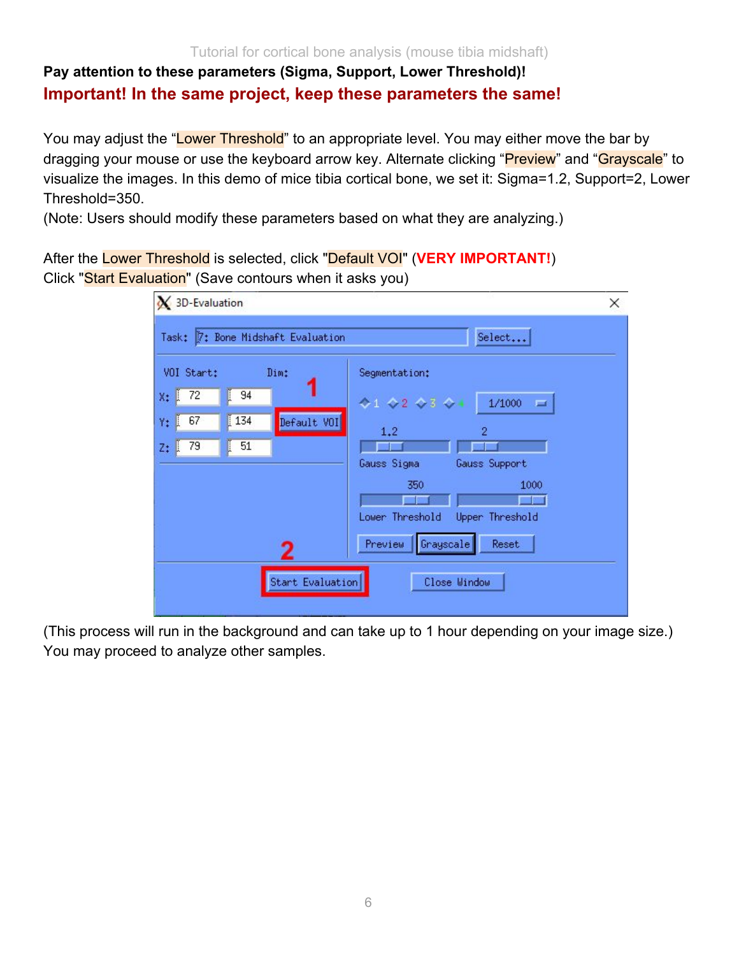#### Tutorial for cortical bone analysis (mouse tibia midshaft)

# **Pay attention to these parameters (Sigma, Support, Lower Threshold)! Important! In the same project, keep these parameters the same!**

You may adjust the "Lower Threshold" to an appropriate level. You may either move the bar by dragging your mouse or use the keyboard arrow key. Alternate clicking "Preview" and "Grayscale" to visualize the images. In this demo of mice tibia cortical bone, we set it: Sigma=1.2, Support=2, Lower Threshold=350.

(Note: Users should modify these parameters based on what they are analyzing.)

After the Lower Threshold is selected, click "Default VOI" (**VERY IMPORTANT!**) Click "Start Evaluation" (Save contours when it asks you)

| X 3D-Evaluation                            |                             | ×                                        |
|--------------------------------------------|-----------------------------|------------------------------------------|
| Task:                                      | 7: Bone Midshaft Evaluation | Select                                   |
| VOI Start:                                 | Dim:                        | Segmentation:                            |
| ľ<br>72<br>94<br>l<br>X:                   |                             | $41$ $42$ $43$ $4$<br>1/1000<br>$\equiv$ |
| ľ<br>134<br>67<br>Y:<br>I                  | Default VOI                 | 1,2<br>$\overline{2}$                    |
| 79<br>I<br>51<br>$\blacksquare$<br>$Z_{+}$ |                             |                                          |
|                                            |                             | Gauss Sigma<br>Gauss Support             |
|                                            |                             | 350<br>1000                              |
|                                            |                             | Lower Threshold<br>Upper Threshold       |
|                                            | 2                           | Preview<br>Grayscale<br>Reset            |
|                                            |                             |                                          |
|                                            | Start Evaluation            | Close Window                             |
|                                            |                             |                                          |

(This process will run in the background and can take up to 1 hour depending on your image size.) You may proceed to analyze other samples.